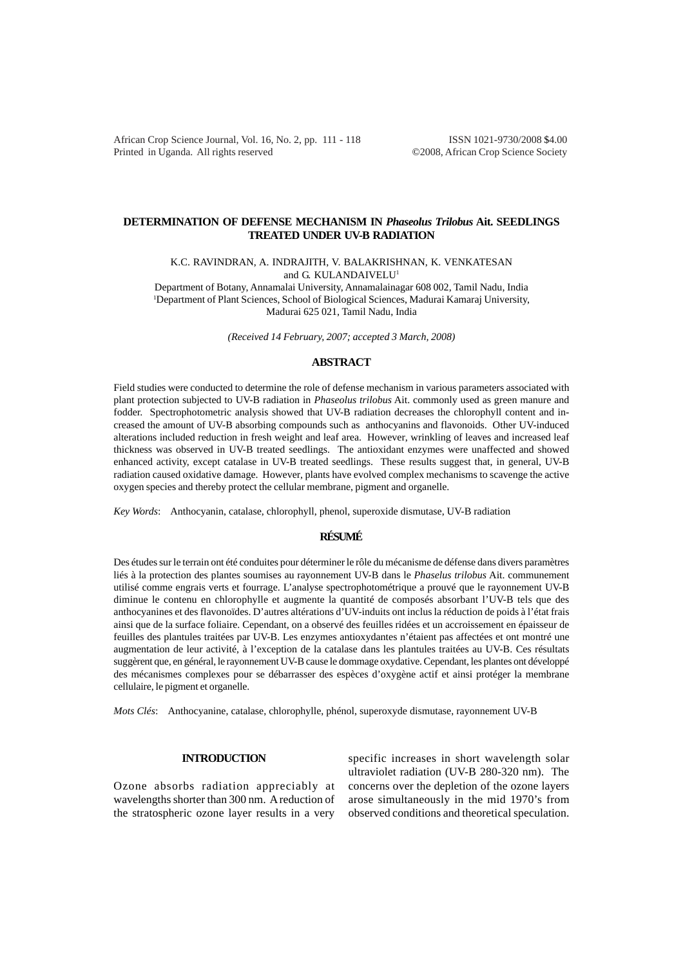African Crop Science Journal, Vol. 16, No. 2, pp. 111 - 118 ISSN 1021-9730/2008 \$4.00 Printed in Uganda. All rights reserved ©2008, African Crop Science Society

# **DETERMINATION OF DEFENSE MECHANISM IN** *Phaseolus Trilobus* **Ait. SEEDLINGS TREATED UNDER UV-B RADIATION**

K.C. RAVINDRAN, A. INDRAJITH, V. BALAKRISHNAN, K. VENKATESAN

and G. KULANDAIVELU<sup>1</sup>

Department of Botany, Annamalai University, Annamalainagar 608 002, Tamil Nadu, India 1 Department of Plant Sciences, School of Biological Sciences, Madurai Kamaraj University, Madurai 625 021, Tamil Nadu, India

*(Received 14 February, 2007; accepted 3 March, 2008)*

## **ABSTRACT**

Field studies were conducted to determine the role of defense mechanism in various parameters associated with plant protection subjected to UV-B radiation in *Phaseolus trilobus* Ait. commonly used as green manure and fodder. Spectrophotometric analysis showed that UV-B radiation decreases the chlorophyll content and increased the amount of UV-B absorbing compounds such as anthocyanins and flavonoids. Other UV-induced alterations included reduction in fresh weight and leaf area. However, wrinkling of leaves and increased leaf thickness was observed in UV-B treated seedlings. The antioxidant enzymes were unaffected and showed enhanced activity, except catalase in UV-B treated seedlings. These results suggest that, in general, UV-B radiation caused oxidative damage. However, plants have evolved complex mechanisms to scavenge the active oxygen species and thereby protect the cellular membrane, pigment and organelle.

*Key Words*: Anthocyanin, catalase, chlorophyll, phenol, superoxide dismutase, UV-B radiation

## **RÉSUMÉ**

Des études sur le terrain ont été conduites pour déterminer le rôle du mécanisme de défense dans divers paramètres liés à la protection des plantes soumises au rayonnement UV-B dans le *Phaselus trilobus* Ait. communement utilisé comme engrais verts et fourrage. L'analyse spectrophotométrique a prouvé que le rayonnement UV-B diminue le contenu en chlorophylle et augmente la quantité de composés absorbant l'UV-B tels que des anthocyanines et des flavonoïdes. D'autres altérations d'UV-induits ont inclus la réduction de poids à l'état frais ainsi que de la surface foliaire. Cependant, on a observé des feuilles ridées et un accroissement en épaisseur de feuilles des plantules traitées par UV-B. Les enzymes antioxydantes n'étaient pas affectées et ont montré une augmentation de leur activité, à l'exception de la catalase dans les plantules traitées au UV-B. Ces résultats suggèrent que, en général, le rayonnement UV-B cause le dommage oxydative. Cependant, les plantes ont développé des mécanismes complexes pour se débarrasser des espèces d'oxygène actif et ainsi protéger la membrane cellulaire, le pigment et organelle.

*Mots Clés*: Anthocyanine, catalase, chlorophylle, phénol, superoxyde dismutase, rayonnement UV-B

## **INTRODUCTION**

Ozone absorbs radiation appreciably at wavelengths shorter than 300 nm. A reduction of the stratospheric ozone layer results in a very

specific increases in short wavelength solar ultraviolet radiation (UV-B 280-320 nm). The concerns over the depletion of the ozone layers arose simultaneously in the mid 1970's from observed conditions and theoretical speculation.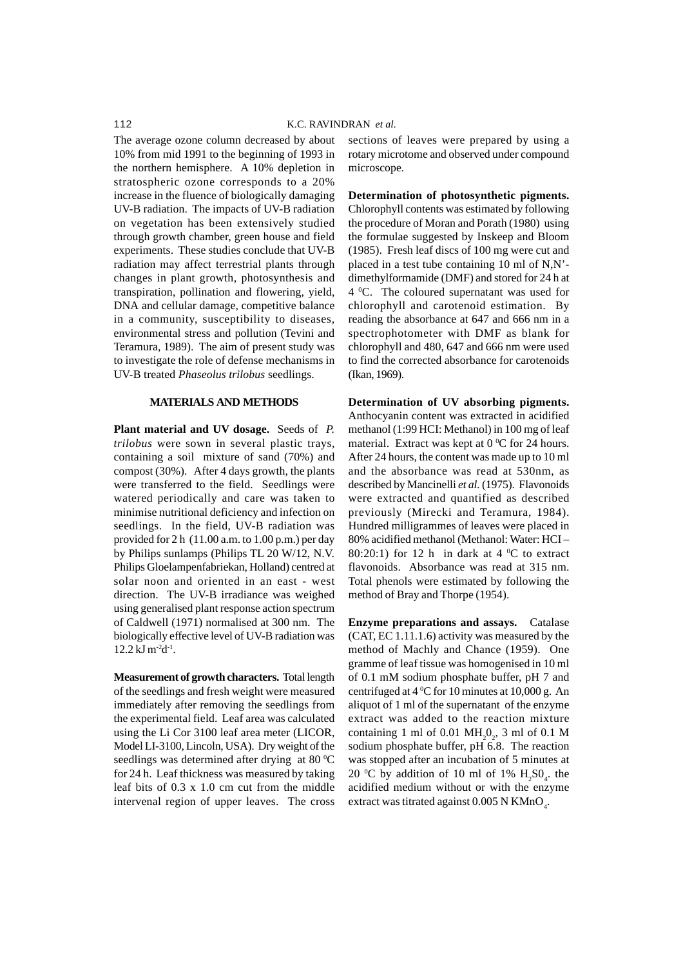The average ozone column decreased by about 10% from mid 1991 to the beginning of 1993 in the northern hemisphere. A 10% depletion in stratospheric ozone corresponds to a 20% increase in the fluence of biologically damaging UV-B radiation. The impacts of UV-B radiation on vegetation has been extensively studied through growth chamber, green house and field experiments. These studies conclude that UV-B radiation may affect terrestrial plants through changes in plant growth, photosynthesis and transpiration, pollination and flowering, yield, DNA and cellular damage, competitive balance in a community, susceptibility to diseases, environmental stress and pollution (Tevini and Teramura, 1989). The aim of present study was to investigate the role of defense mechanisms in UV-B treated *Phaseolus trilobus* seedlings.

### **MATERIALS AND METHODS**

**Plant material and UV dosage.** Seeds of *P. trilobus* were sown in several plastic trays, containing a soil mixture of sand (70%) and compost (30%). After 4 days growth, the plants were transferred to the field. Seedlings were watered periodically and care was taken to minimise nutritional deficiency and infection on seedlings. In the field, UV-B radiation was provided for 2 h (11.00 a.m. to 1.00 p.m.) per day by Philips sunlamps (Philips TL 20 W/12, N.V. Philips Gloelampenfabriekan, Holland) centred at solar noon and oriented in an east - west direction. The UV-B irradiance was weighed using generalised plant response action spectrum of Caldwell (1971) normalised at 300 nm. The biologically effective level of UV-B radiation was  $12.2$  kJ m<sup>-2</sup>d<sup>-1</sup>.

**Measurement of growth characters.** Total length of the seedlings and fresh weight were measured immediately after removing the seedlings from the experimental field. Leaf area was calculated using the Li Cor 3100 leaf area meter (LICOR, Model LI-3100, Lincoln, USA). Dry weight of the seedlings was determined after drying at 80 $\mathrm{^0C}$ for 24 h. Leaf thickness was measured by taking leaf bits of 0.3 x 1.0 cm cut from the middle intervenal region of upper leaves. The cross

sections of leaves were prepared by using a rotary microtome and observed under compound microscope.

**Determination of photosynthetic pigments.** Chlorophyll contents was estimated by following the procedure of Moran and Porath (1980) using the formulae suggested by Inskeep and Bloom (1985). Fresh leaf discs of 100 mg were cut and placed in a test tube containing 10 ml of N,N' dimethylformamide (DMF) and stored for 24 h at 4 °C. The coloured supernatant was used for chlorophyll and carotenoid estimation. By reading the absorbance at 647 and 666 nm in a spectrophotometer with DMF as blank for chlorophyll and 480, 647 and 666 nm were used to find the corrected absorbance for carotenoids (Ikan, 1969).

**Determination of UV absorbing pigments.** Anthocyanin content was extracted in acidified methanol (1:99 HCI: Methanol) in 100 mg of leaf material. Extract was kept at  $0<sup>0</sup>C$  for 24 hours. After 24 hours, the content was made up to 10 ml and the absorbance was read at 530nm, as described by Mancinelli *et al.* (1975). Flavonoids were extracted and quantified as described previously (Mirecki and Teramura, 1984). Hundred milligrammes of leaves were placed in 80% acidified methanol (Methanol: Water: HCI – 80:20:1) for 12 h in dark at  $4^{\circ}$ C to extract flavonoids. Absorbance was read at 315 nm. Total phenols were estimated by following the method of Bray and Thorpe (1954).

**Enzyme preparations and assays.** Catalase (CAT, EC 1.11.1.6) activity was measured by the method of Machly and Chance (1959). One gramme of leaf tissue was homogenised in 10 ml of 0.1 mM sodium phosphate buffer, pH 7 and centrifuged at  $4^{\circ}$ C for 10 minutes at 10,000 g. An aliquot of 1 ml of the supernatant of the enzyme extract was added to the reaction mixture containing 1 ml of 0.01  $\text{MH}_2\text{O}_2$ , 3 ml of 0.1 M sodium phosphate buffer,  $pH\overline{6.8}$ . The reaction was stopped after an incubation of 5 minutes at 20 °C by addition of 10 ml of 1%  $H_2SO_4$ . the acidified medium without or with the enzyme extract was titrated against  $0.005 \text{ N K MnO}_4$ .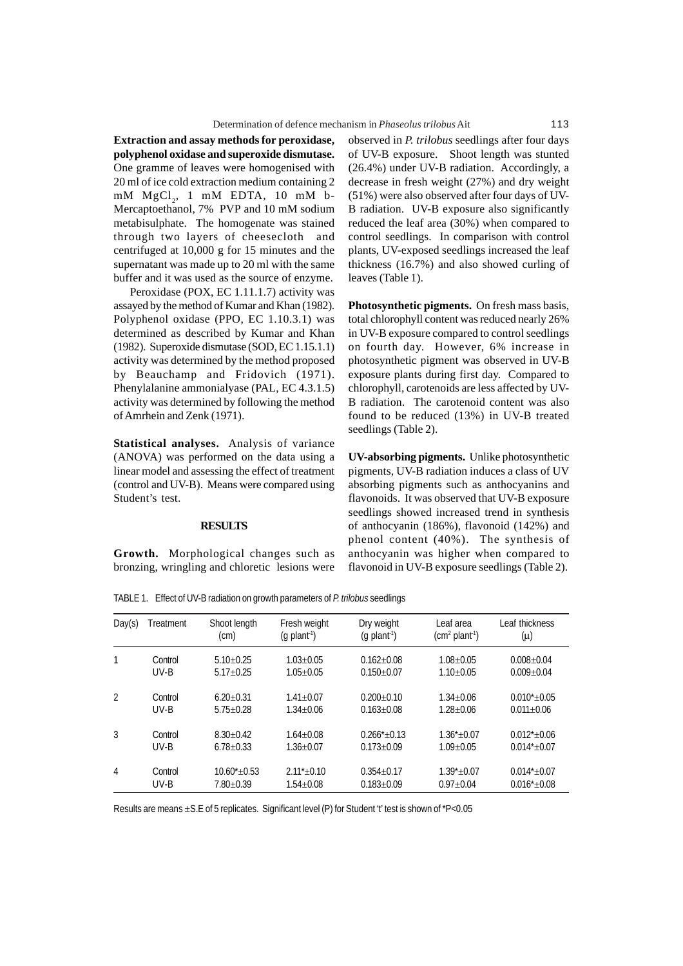**Extraction and assay methods for peroxidase, polyphenol oxidase and superoxide dismutase.** One gramme of leaves were homogenised with 20 ml of ice cold extraction medium containing 2 mM MgCl<sub>2</sub>, 1 mM EDTA, 10 mM b-Mercaptoethanol, 7% PVP and 10 mM sodium metabisulphate. The homogenate was stained through two layers of cheesecloth and centrifuged at 10,000 g for 15 minutes and the supernatant was made up to 20 ml with the same buffer and it was used as the source of enzyme.

Peroxidase (POX, EC 1.11.1.7) activity was assayed by the method of Kumar and Khan (1982). Polyphenol oxidase (PPO, EC 1.10.3.1) was determined as described by Kumar and Khan (1982). Superoxide dismutase (SOD, EC 1.15.1.1) activity was determined by the method proposed by Beauchamp and Fridovich (1971). Phenylalanine ammonialyase (PAL, EC 4.3.1.5) activity was determined by following the method of Amrhein and Zenk (1971).

**Statistical analyses.** Analysis of variance (ANOVA) was performed on the data using a linear model and assessing the effect of treatment (control and UV-B). Means were compared using Student's test.

### **RESULTS**

**Growth.** Morphological changes such as bronzing, wringling and chloretic lesions were observed in *P. trilobus* seedlings after four days of UV-B exposure. Shoot length was stunted (26.4%) under UV-B radiation. Accordingly, a decrease in fresh weight (27%) and dry weight (51%) were also observed after four days of UV-B radiation. UV-B exposure also significantly reduced the leaf area (30%) when compared to control seedlings. In comparison with control plants, UV-exposed seedlings increased the leaf thickness (16.7%) and also showed curling of leaves (Table 1).

**Photosynthetic pigments.** On fresh mass basis, total chlorophyll content was reduced nearly 26% in UV-B exposure compared to control seedlings on fourth day. However, 6% increase in photosynthetic pigment was observed in UV-B exposure plants during first day. Compared to chlorophyll, carotenoids are less affected by UV-B radiation. The carotenoid content was also found to be reduced (13%) in UV-B treated seedlings (Table 2).

**UV-absorbing pigments.** Unlike photosynthetic pigments, UV-B radiation induces a class of UV absorbing pigments such as anthocyanins and flavonoids. It was observed that UV-B exposure seedlings showed increased trend in synthesis of anthocyanin (186%), flavonoid (142%) and phenol content (40%). The synthesis of anthocyanin was higher when compared to flavonoid in UV-B exposure seedlings (Table 2).

TABLE 1. Effect of UV-B radiation on growth parameters of *P. trilobus* seedlings

| Day(s)         | Treatment | Shoot length<br>$\text{(cm)}$ | Fresh weight<br>$(q$ plant <sup>-1</sup> ) | Dry weight<br>$(q$ plant <sup>-1</sup> ) | Leaf area<br>$(cm2 plant-1)$ | Leaf thickness<br>(μ) |
|----------------|-----------|-------------------------------|--------------------------------------------|------------------------------------------|------------------------------|-----------------------|
| 1              | Control   | $5.10+0.25$                   | $1.03 + 0.05$                              | $0.162 \pm 0.08$                         | $1.08 + 0.05$                | $0.008 + 0.04$        |
|                | $UV-B$    | $5.17 + 0.25$                 | $1.05 + 0.05$                              | $0.150 + 0.07$                           | $1.10 + 0.05$                | $0.009 + 0.04$        |
| $\overline{2}$ | Control   | $6.20 + 0.31$                 | $1.41 + 0.07$                              | $0.200 + 0.10$                           | $1.34 + 0.06$                | $0.010^{*} + 0.05$    |
|                | $UV-B$    | $5.75 + 0.28$                 | $1.34 + 0.06$                              | $0.163 + 0.08$                           | $1.28 + 0.06$                | $0.011 + 0.06$        |
| 3              | Control   | $8.30 + 0.42$                 | $1.64 + 0.08$                              | $0.266* + 0.13$                          | $1.36^* + 0.07$              | $0.012^{*} + 0.06$    |
|                | $UV-B$    | $6.78 + 0.33$                 | $1.36 + 0.07$                              | $0.173 + 0.09$                           | $1.09 + 0.05$                | $0.014^* + 0.07$      |
| 4              | Control   | $10.60^* + 0.53$              | $2.11*+0.10$                               | $0.354 + 0.17$                           | $1.39^* + 0.07$              | $0.014^{*} + 0.07$    |
|                | UV-B      | $7.80 \pm 0.39$               | $1.54 \pm 0.08$                            | $0.183 + 0.09$                           | $0.97 + 0.04$                | $0.016*_{\pm}0.08$    |

Results are means ±S.E of 5 replicates. Significant level (P) for Student 't' test is shown of \*P<0.05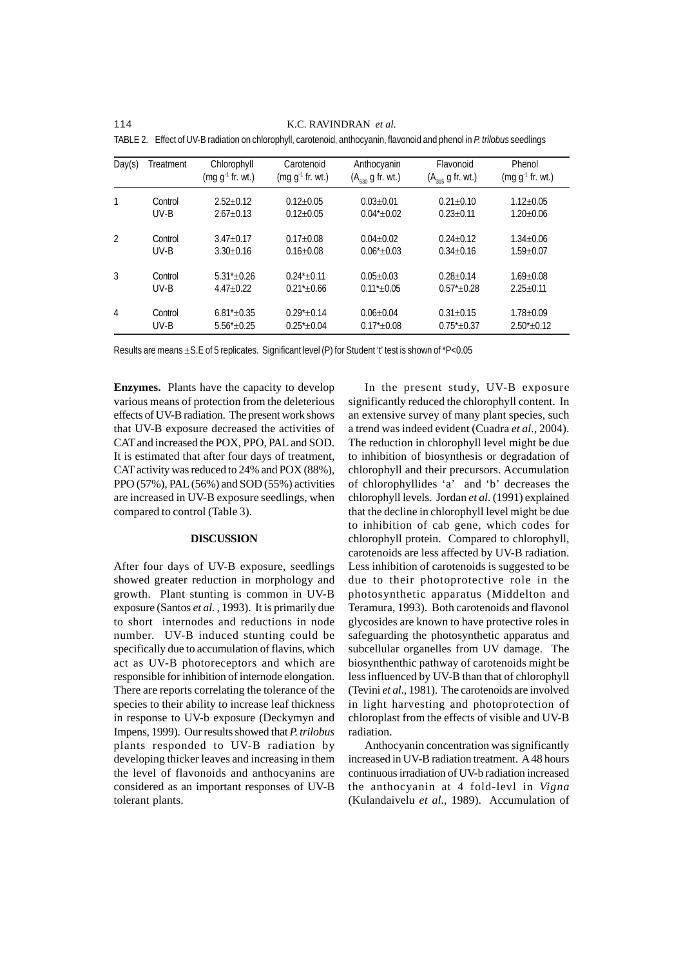114 K.C. RAVINDRAN *et al.*

| Day(s) | Treatment | Chlorophyll<br>$(mg g-1 fr. wt.)$ | Carotenoid<br>$(mg g-1 fr. wt.)$ | Anthocyanin<br>$(A_{530}$ g fr. wt.) | Flavonoid<br>$(A_{315}$ g fr. wt.) | Phenol<br>$(mg g-1$ fr. wt.) |
|--------|-----------|-----------------------------------|----------------------------------|--------------------------------------|------------------------------------|------------------------------|
| 1      | Control   | $2.52+0.12$                       | $0.12 + 0.05$                    | $0.03 + 0.01$                        | $0.21 + 0.10$                      | $1.12 + 0.05$                |
|        | $UV-B$    | $2.67 + 0.13$                     | $0.12 + 0.05$                    | $0.04^* + 0.02$                      | $0.23 + 0.11$                      | $1.20 \pm 0.06$              |
| 2      | Control   | $3.47 + 0.17$                     | $0.17 \pm 0.08$                  | $0.04 + 0.02$                        | $0.24 + 0.12$                      | $1.34 + 0.06$                |
|        | $UV-B$    | $3.30 + 0.16$                     | $0.16 + 0.08$                    | $0.06* + 0.03$                       | $0.34 + 0.16$                      | $1.59 \pm 0.07$              |
| 3      | Control   | $5.31^* + 0.26$                   | $0.24^* + 0.11$                  | $0.05 + 0.03$                        | $0.28 + 0.14$                      | $1.69 + 0.08$                |
|        | $UV-B$    | $4.47 + 0.22$                     | $0.21^* + 0.66$                  | $0.11^*+0.05$                        | $0.57^*+0.28$                      | $2.25 + 0.11$                |
| 4      | Control   | $6.81^* + 0.35$                   | $0.29^* + 0.14$                  | $0.06 + 0.04$                        | $0.31 + 0.15$                      | $1.78 + 0.09$                |
|        | UV-B      | $5.56*+0.25$                      | $0.25^*$ + 0.04                  | $0.17* + 0.08$                       | $0.75^*$ $\pm$ 0.37                | $2.50* + 0.12$               |

TABLE 2. Effect of UV-B radiation on chlorophyll, carotenoid, anthocyanin, flavonoid and phenol in *P. trilobus* seedlings

Results are means  $\pm$  S. E of 5 replicates. Significant level (P) for Student 't' test is shown of  $P$ <0.05

**Enzymes.** Plants have the capacity to develop various means of protection from the deleterious effects of UV-B radiation. The present work shows that UV-B exposure decreased the activities of CAT and increased the POX, PPO, PAL and SOD. It is estimated that after four days of treatment, CAT activity was reduced to 24% and POX (88%), PPO (57%), PAL (56%) and SOD (55%) activities are increased in UV-B exposure seedlings, when compared to control (Table 3).

### **DISCUSSION**

After four days of UV-B exposure, seedlings showed greater reduction in morphology and growth. Plant stunting is common in UV-B exposure (Santos *et al*. , 1993). It is primarily due to short internodes and reductions in node number. UV-B induced stunting could be specifically due to accumulation of flavins, which act as UV-B photoreceptors and which are responsible for inhibition of internode elongation. There are reports correlating the tolerance of the species to their ability to increase leaf thickness in response to UV-b exposure (Deckymyn and Impens, 1999). Our results showed that *P. trilobus* plants responded to UV-B radiation by developing thicker leaves and increasing in them the level of flavonoids and anthocyanins are considered as an important responses of UV-B tolerant plants.

In the present study, UV-B exposure significantly reduced the chlorophyll content. In an extensive survey of many plant species, such a trend was indeed evident (Cuadra *et al.,* 2004). The reduction in chlorophyll level might be due to inhibition of biosynthesis or degradation of chlorophyll and their precursors. Accumulation of chlorophyllides 'a' and 'b' decreases the chlorophyll levels. Jordan *et al*. (1991) explained that the decline in chlorophyll level might be due to inhibition of cab gene, which codes for chlorophyll protein. Compared to chlorophyll, carotenoids are less affected by UV-B radiation. Less inhibition of carotenoids is suggested to be due to their photoprotective role in the photosynthetic apparatus (Middelton and Teramura, 1993). Both carotenoids and flavonol glycosides are known to have protective roles in safeguarding the photosynthetic apparatus and subcellular organelles from UV damage. The biosynthenthic pathway of carotenoids might be less influenced by UV-B than that of chlorophyll (Tevini *et al*., 1981). The carotenoids are involved in light harvesting and photoprotection of chloroplast from the effects of visible and UV-B radiation.

Anthocyanin concentration was significantly increased in UV-B radiation treatment. A 48 hours continuous irradiation of UV-b radiation increased the anthocyanin at 4 fold-levl in *Vigna* (Kulandaivelu *et al.*, 1989). Accumulation of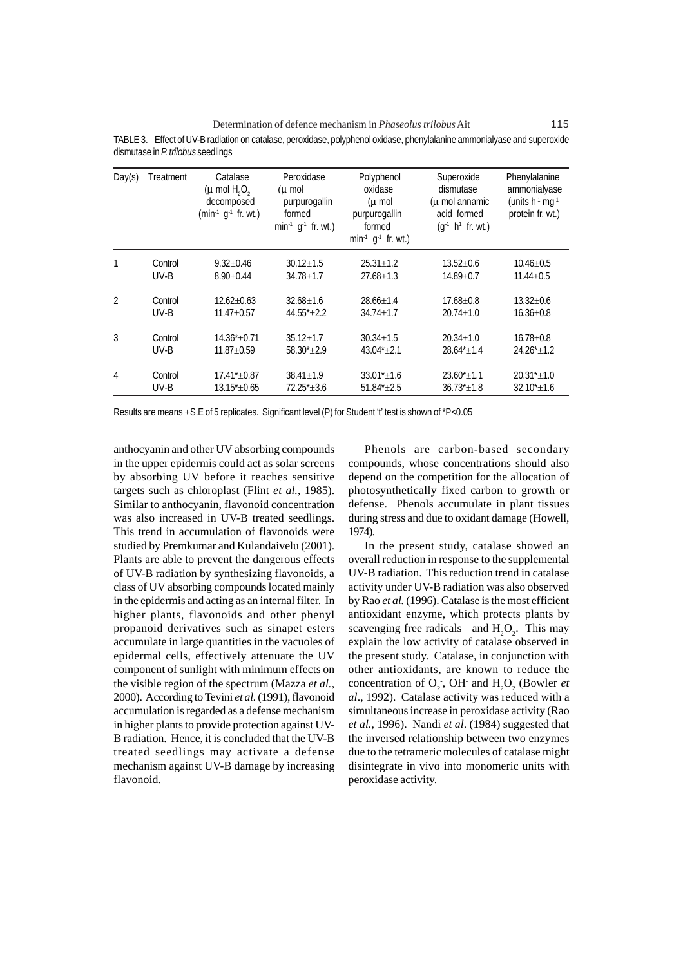Determination of defence mechanism in *Phaseolus trilobus* Ait 115

TABLE 3. Effect of UV-B radiation on catalase, peroxidase, polyphenol oxidase, phenylalanine ammonialyase and superoxide dismutase in *P. trilobus* seedlings

| Day(s)         | Treatment | Catalase<br>$(\mu$ mol H <sub>2</sub> O <sub>2</sub><br>decomposed<br>$(min-1 g-1 fr. wt.)$ | Peroxidase<br>$(\mu$ mol<br>purpurogallin<br>formed<br>$min-1$ g <sup>-1</sup> fr. wt.) | Polyphenol<br>oxidase<br>$(\mu$ mol<br>purpurogallin<br>formed<br>$min^{-1}$ g <sup>-1</sup> fr. wt.) | Superoxide<br>dismutase<br>$(\mu$ mol annamic<br>acid formed<br>$(q^{-1} h^{1}$ fr. wt.) | Phenylalanine<br>ammonialyase<br>(units $h^{-1}$ mg $^{-1}$<br>protein fr. wt.) |
|----------------|-----------|---------------------------------------------------------------------------------------------|-----------------------------------------------------------------------------------------|-------------------------------------------------------------------------------------------------------|------------------------------------------------------------------------------------------|---------------------------------------------------------------------------------|
| 1              | Control   | $9.32 \pm 0.46$                                                                             | $30.12 \pm 1.5$                                                                         | $25.31 \pm 1.2$                                                                                       | $13.52 \pm 0.6$                                                                          | $10.46 \pm 0.5$                                                                 |
|                | $UV-B$    | $8.90 \pm 0.44$                                                                             | $34.78 \pm 1.7$                                                                         | $27.68 \pm 1.3$                                                                                       | $14.89 + 0.7$                                                                            | $11.44 \pm 0.5$                                                                 |
| $\mathfrak{D}$ | Control   | $12.62 \pm 0.63$                                                                            | $32.68 \pm 1.6$                                                                         | $28.66 \pm 1.4$                                                                                       | $17.68 \pm 0.8$                                                                          | $13.32 + 0.6$                                                                   |
|                | UV-B      | $11.47 \pm 0.57$                                                                            | $44.55*+2.2$                                                                            | $34.74 \pm 1.7$                                                                                       | $20.74 \pm 1.0$                                                                          | $16.36 \pm 0.8$                                                                 |
| 3              | Control   | $14.36* + 0.71$                                                                             | $35.12 \pm 1.7$                                                                         | $30.34 \pm 1.5$                                                                                       | $20.34 \pm 1.0$                                                                          | $16.78 \pm 0.8$                                                                 |
|                | UV-B      | $11.87 + 0.59$                                                                              | $58.30* + 2.9$                                                                          | $43.04*+2.1$                                                                                          | $28.64* \pm 1.4$                                                                         | $24.26^*$ ±1.2                                                                  |
| $\overline{4}$ | Control   | $17.41* + 0.87$                                                                             | $38.41 \pm 1.9$                                                                         | $33.01^* \pm 1.6$                                                                                     | $23.60^{\ast}$ ±1.1                                                                      | $20.31^*$ ±1.0                                                                  |
|                | UV-B      | $13.15 \pm 0.65$                                                                            | $72.25^* \pm 3.6$                                                                       | $51.84*+2.5$                                                                                          | $36.73^{\ast}$ $\pm$ 1.8                                                                 | $32.10^{\ast}$ ± 1.6                                                            |

Results are means  $\pm$ S. E of 5 replicates. Significant level (P) for Student 't' test is shown of \*P<0.05

anthocyanin and other UV absorbing compounds in the upper epidermis could act as solar screens by absorbing UV before it reaches sensitive targets such as chloroplast (Flint *et al.*, 1985). Similar to anthocyanin, flavonoid concentration was also increased in UV-B treated seedlings. This trend in accumulation of flavonoids were studied by Premkumar and Kulandaivelu (2001). Plants are able to prevent the dangerous effects of UV-B radiation by synthesizing flavonoids, a class of UV absorbing compounds located mainly in the epidermis and acting as an internal filter. In higher plants, flavonoids and other phenyl propanoid derivatives such as sinapet esters accumulate in large quantities in the vacuoles of epidermal cells, effectively attenuate the UV component of sunlight with minimum effects on the visible region of the spectrum (Mazza *et al.*, 2000). According to Tevini *et al.* (1991), flavonoid accumulation is regarded as a defense mechanism in higher plants to provide protection against UV-B radiation. Hence, it is concluded that the UV-B treated seedlings may activate a defense mechanism against UV-B damage by increasing flavonoid.

Phenols are carbon-based secondary compounds, whose concentrations should also depend on the competition for the allocation of photosynthetically fixed carbon to growth or defense. Phenols accumulate in plant tissues during stress and due to oxidant damage (Howell, 1974).

In the present study, catalase showed an overall reduction in response to the supplemental UV-B radiation. This reduction trend in catalase activity under UV-B radiation was also observed by Rao *et al.* (1996). Catalase is the most efficient antioxidant enzyme, which protects plants by scavenging free radicals and  $H_2O_2$ . This may explain the low activity of catalase observed in the present study. Catalase, in conjunction with other antioxidants, are known to reduce the concentration of  $O_2$ , OH and  $H_2O_2$  (Bowler *et al*., 1992). Catalase activity was reduced with a simultaneous increase in peroxidase activity (Rao *et al.,* 1996). Nandi *et al*. (1984) suggested that the inversed relationship between two enzymes due to the tetrameric molecules of catalase might disintegrate in vivo into monomeric units with peroxidase activity.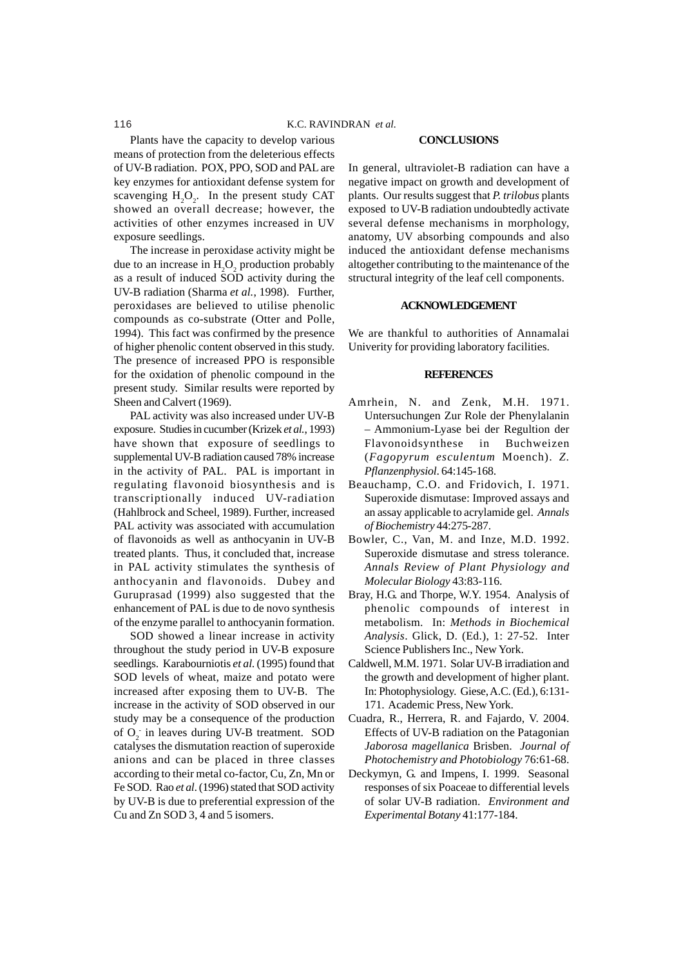Plants have the capacity to develop various means of protection from the deleterious effects of UV-B radiation. POX, PPO, SOD and PAL are key enzymes for antioxidant defense system for scavenging  $H_2O_2$ . In the present study CAT showed an overall decrease; however, the activities of other enzymes increased in UV exposure seedlings.

The increase in peroxidase activity might be due to an increase in  $H_2O_2$  production probably as a result of induced SOD activity during the UV-B radiation (Sharma *et al.*, 1998). Further, peroxidases are believed to utilise phenolic compounds as co-substrate (Otter and Polle, 1994). This fact was confirmed by the presence of higher phenolic content observed in this study. The presence of increased PPO is responsible for the oxidation of phenolic compound in the present study. Similar results were reported by Sheen and Calvert (1969).

PAL activity was also increased under UV-B exposure. Studies in cucumber (Krizek *et al.*, 1993) have shown that exposure of seedlings to supplemental UV-B radiation caused 78% increase in the activity of PAL. PAL is important in regulating flavonoid biosynthesis and is transcriptionally induced UV-radiation (Hahlbrock and Scheel, 1989). Further, increased PAL activity was associated with accumulation of flavonoids as well as anthocyanin in UV-B treated plants. Thus, it concluded that, increase in PAL activity stimulates the synthesis of anthocyanin and flavonoids. Dubey and Guruprasad (1999) also suggested that the enhancement of PAL is due to de novo synthesis of the enzyme parallel to anthocyanin formation.

SOD showed a linear increase in activity throughout the study period in UV-B exposure seedlings. Karabourniotis *et al*. (1995) found that SOD levels of wheat, maize and potato were increased after exposing them to UV-B. The increase in the activity of SOD observed in our study may be a consequence of the production of  $O_2$  in leaves during UV-B treatment. SOD catalyses the dismutation reaction of superoxide anions and can be placed in three classes according to their metal co-factor, Cu, Zn, Mn or Fe SOD. Rao *et al*. (1996) stated that SOD activity by UV-B is due to preferential expression of the Cu and Zn SOD 3, 4 and 5 isomers.

#### **CONCLUSIONS**

In general, ultraviolet-B radiation can have a negative impact on growth and development of plants. Our results suggest that *P. trilobus* plants exposed to UV-B radiation undoubtedly activate several defense mechanisms in morphology, anatomy, UV absorbing compounds and also induced the antioxidant defense mechanisms altogether contributing to the maintenance of the structural integrity of the leaf cell components.

#### **ACKNOWLEDGEMENT**

We are thankful to authorities of Annamalai Univerity for providing laboratory facilities.

#### **REFERENCES**

- Amrhein, N. and Zenk, M.H. 1971. Untersuchungen Zur Role der Phenylalanin – Ammonium-Lyase bei der Regultion der Flavonoidsynthese in Buchweizen (*Fagopyrum esculentum* Moench). *Z. Pflanzenphysiol*. 64:145-168.
- Beauchamp, C.O. and Fridovich, I. 1971. Superoxide dismutase: Improved assays and an assay applicable to acrylamide gel. *Annals of Biochemistry* 44:275-287.
- Bowler, C., Van, M. and Inze, M.D. 1992. Superoxide dismutase and stress tolerance. *Annals Review of Plant Physiology and Molecular Biology* 43:83-116.
- Bray, H.G. and Thorpe, W.Y. 1954. Analysis of phenolic compounds of interest in metabolism. In: *Methods in Biochemical Analysis*. Glick, D. (Ed.), 1: 27-52. Inter Science Publishers Inc., New York.
- Caldwell, M.M. 1971. Solar UV-B irradiation and the growth and development of higher plant. In: Photophysiology. Giese, A.C. (Ed.), 6:131- 171. Academic Press, New York.
- Cuadra, R., Herrera, R. and Fajardo, V. 2004. Effects of UV-B radiation on the Patagonian *Jaborosa magellanica* Brisben. *Journal of Photochemistry and Photobiology* 76:61-68.
- Deckymyn, G. and Impens, I. 1999. Seasonal responses of six Poaceae to differential levels of solar UV-B radiation. *Environment and Experimental Botany* 41:177-184.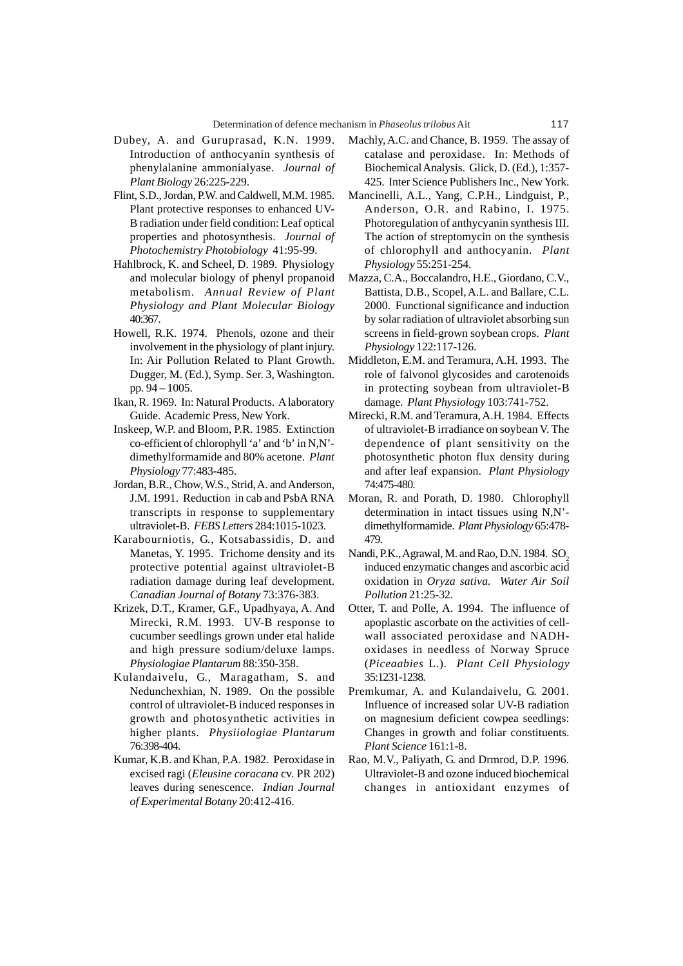- Dubey, A. and Guruprasad, K.N. 1999. Introduction of anthocyanin synthesis of phenylalanine ammonialyase. *Journal of Plant Biology* 26:225-229.
- Flint, S.D., Jordan, P.W. and Caldwell, M.M. 1985. Plant protective responses to enhanced UV-B radiation under field condition: Leaf optical properties and photosynthesis. *Journal of Photochemistry Photobiology* 41:95-99.
- Hahlbrock, K. and Scheel, D. 1989. Physiology and molecular biology of phenyl propanoid metabolism. *Annual Review of Plant Physiology and Plant Molecular Biology* 40:367.
- Howell, R.K. 1974. Phenols, ozone and their involvement in the physiology of plant injury. In: Air Pollution Related to Plant Growth. Dugger, M. (Ed.), Symp. Ser. 3, Washington. pp. 94 – 1005.
- Ikan, R. 1969. In: Natural Products. A laboratory Guide. Academic Press, New York.
- Inskeep, W.P. and Bloom, P.R. 1985. Extinction co-efficient of chlorophyll 'a' and 'b' in N,N' dimethylformamide and 80% acetone. *Plant Physiology* 77:483-485.
- Jordan, B.R., Chow, W.S., Strid, A. and Anderson, J.M. 1991. Reduction in cab and PsbA RNA transcripts in response to supplementary ultraviolet-B. *FEBS Letters* 284:1015-1023.
- Karabourniotis, G., Kotsabassidis, D. and Manetas, Y. 1995. Trichome density and its protective potential against ultraviolet-B radiation damage during leaf development. *Canadian Journal of Botany* 73:376-383.
- Krizek, D.T., Kramer, G.F., Upadhyaya, A. And Mirecki, R.M. 1993. UV-B response to cucumber seedlings grown under etal halide and high pressure sodium/deluxe lamps. *Physiologiae Plantarum* 88:350-358.
- Kulandaivelu, G., Maragatham, S. and Nedunchexhian, N. 1989. On the possible control of ultraviolet-B induced responses in growth and photosynthetic activities in higher plants. *Physiiologiae Plantarum* 76:398-404.
- Kumar, K.B. and Khan, P.A. 1982. Peroxidase in excised ragi (*Eleusine coracana* cv. PR 202) leaves during senescence. *Indian Journal of Experimental Botany* 20:412-416.
- Machly, A.C. and Chance, B. 1959. The assay of catalase and peroxidase. In: Methods of Biochemical Analysis. Glick, D. (Ed.), 1:357- 425. Inter Science Publishers Inc., New York.
- Mancinelli, A.L., Yang, C.P.H., Lindguist, P., Anderson, O.R. and Rabino, I. 1975. Photoregulation of anthycyanin synthesis III. The action of streptomycin on the synthesis of chlorophyll and anthocyanin. *Plant Physiology* 55:251-254.
- Mazza, C.A., Boccalandro, H.E., Giordano, C.V., Battista, D.B., Scopel, A.L. and Ballare, C.L. 2000. Functional significance and induction by solar radiation of ultraviolet absorbing sun screens in field-grown soybean crops. *Plant Physiology* 122:117-126.
- Middleton, E.M. and Teramura, A.H. 1993. The role of falvonol glycosides and carotenoids in protecting soybean from ultraviolet-B damage. *Plant Physiology* 103:741-752.
- Mirecki, R.M. and Teramura, A.H. 1984. Effects of ultraviolet-B irradiance on soybean V. The dependence of plant sensitivity on the photosynthetic photon flux density during and after leaf expansion. *Plant Physiology* 74:475-480.
- Moran, R. and Porath, D. 1980. Chlorophyll determination in intact tissues using N,N' dimethylformamide. *Plant Physiology* 65:478- 479.
- Nandi, P.K., Agrawal, M. and Rao, D.N. 1984. SO<sub>2</sub> induced enzymatic changes and ascorbic acid oxidation in *Oryza sativa. Water Air Soil Pollution* 21:25-32.
- Otter, T. and Polle, A. 1994. The influence of apoplastic ascorbate on the activities of cellwall associated peroxidase and NADHoxidases in needless of Norway Spruce (*Piceaabies* L.). *Plant Cell Physiology* 35:1231-1238.
- Premkumar, A. and Kulandaivelu, G. 2001. Influence of increased solar UV-B radiation on magnesium deficient cowpea seedlings: Changes in growth and foliar constituents. *Plant Science* 161:1-8.
- Rao, M.V., Paliyath, G. and Drmrod, D.P. 1996. Ultraviolet-B and ozone induced biochemical changes in antioxidant enzymes of